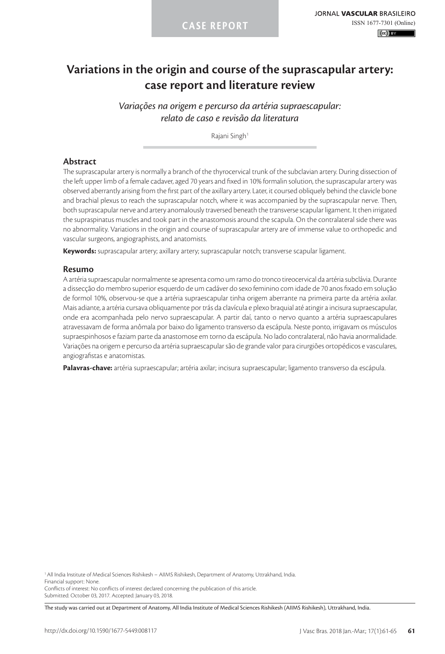## **Variations in the origin and course of the suprascapular artery: case report and literature review**

*Variações na origem e percurso da artéria supraescapular: relato de caso e revisão da literatura*

Rajani Singh1

## **Abstract**

The suprascapular artery is normally a branch of the thyrocervical trunk of the subclavian artery. During dissection of the left upper limb of a female cadaver, aged 70 years and fixed in 10% formalin solution, the suprascapular artery was observed aberrantly arising from the first part of the axillary artery. Later, it coursed obliquely behind the clavicle bone and brachial plexus to reach the suprascapular notch, where it was accompanied by the suprascapular nerve. Then, both suprascapular nerve and artery anomalously traversed beneath the transverse scapular ligament. It then irrigated the supraspinatus muscles and took part in the anastomosis around the scapula. On the contralateral side there was no abnormality. Variations in the origin and course of suprascapular artery are of immense value to orthopedic and vascular surgeons, angiographists, and anatomists.

**Keywords:** suprascapular artery; axillary artery; suprascapular notch; transverse scapular ligament.

### **Resumo**

A artéria supraescapular normalmente se apresenta como um ramo do tronco tireocervical da artéria subclávia. Durante a dissecção do membro superior esquerdo de um cadáver do sexo feminino com idade de 70 anos fixado em solução de formol 10%, observou-se que a artéria supraescapular tinha origem aberrante na primeira parte da artéria axilar. Mais adiante, a artéria cursava obliquamente por trás da clavícula e plexo braquial até atingir a incisura supraescapular, onde era acompanhada pelo nervo supraescapular. A partir daí, tanto o nervo quanto a artéria supraescapulares atravessavam de forma anômala por baixo do ligamento transverso da escápula. Neste ponto, irrigavam os músculos supraespinhosos e faziam parte da anastomose em torno da escápula. No lado contralateral, não havia anormalidade. Variações na origem e percurso da artéria supraescapular são de grande valor para cirurgiões ortopédicos e vasculares, angiografistas e anatomistas.

**Palavras-chave:** artéria supraescapular; artéria axilar; incisura supraescapular; ligamento transverso da escápula.

1All India Institute of Medical Sciences Rishikesh – AIIMS Rishikesh, Department of Anatomy, Uttrakhand, India. Financial support: None.

Conflicts of interest: No conflicts of interest declared concerning the publication of this article. Submitted: October 03, 2017. Accepted: January 03, 2018.

The study was carried out at Department of Anatomy, All India Institute of Medical Sciences Rishikesh (AIIMS Rishikesh), Uttrakhand, India.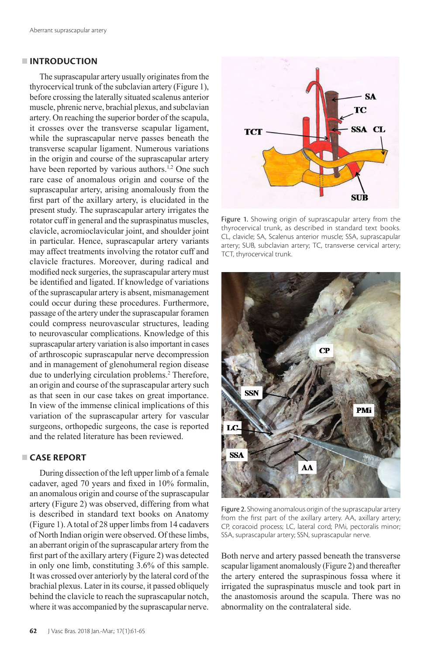## **INTRODUCTION**

The suprascapular artery usually originates from the thyrocervical trunk of the subclavian artery (Figure 1), before crossing the laterally situated scalenus anterior muscle, phrenic nerve, brachial plexus, and subclavian artery. On reaching the superior border of the scapula, it crosses over the transverse scapular ligament, while the suprascapular nerve passes beneath the transverse scapular ligament. Numerous variations in the origin and course of the suprascapular artery have been reported by various authors.<sup>1,2</sup> One such rare case of anomalous origin and course of the suprascapular artery, arising anomalously from the first part of the axillary artery, is elucidated in the present study. The suprascapular artery irrigates the rotator cuff in general and the supraspinatus muscles, clavicle, acromioclavicular joint, and shoulder joint in particular. Hence, suprascapular artery variants may affect treatments involving the rotator cuff and clavicle fractures. Moreover, during radical and modified neck surgeries, the suprascapular artery must be identified and ligated. If knowledge of variations of the suprascapular artery is absent, mismanagement could occur during these procedures. Furthermore, passage of the artery under the suprascapular foramen could compress neurovascular structures, leading to neurovascular complications. Knowledge of this suprascapular artery variation is also important in cases of arthroscopic suprascapular nerve decompression and in management of glenohumeral region disease due to underlying circulation problems.<sup>2</sup> Therefore, an origin and course of the suprascapular artery such as that seen in our case takes on great importance. In view of the immense clinical implications of this variation of the suprascapular artery for vascular surgeons, orthopedic surgeons, the case is reported and the related literature has been reviewed.

## **CASE REPORT**

During dissection of the left upper limb of a female cadaver, aged 70 years and fixed in 10% formalin, an anomalous origin and course of the suprascapular artery (Figure 2) was observed, differing from what is described in standard text books on Anatomy (Figure 1). A total of 28 upper limbs from 14 cadavers of North Indian origin were observed. Of these limbs, an aberrant origin of the suprascapular artery from the first part of the axillary artery (Figure 2) was detected in only one limb, constituting 3.6% of this sample. It was crossed over anteriorly by the lateral cord of the brachial plexus. Later in its course, it passed obliquely behind the clavicle to reach the suprascapular notch, where it was accompanied by the suprascapular nerve.



Figure 1. Showing origin of suprascapular artery from the thyrocervical trunk, as described in standard text books. CL, clavicle; SA, Scalenus anterior muscle; SSA, suprascapular artery; SUB, subclavian artery; TC, transverse cervical artery; TCT, thyrocervical trunk.



Figure 2. Showing anomalous origin of the suprascapular artery from the first part of the axillary artery. AA, axillary artery; CP, coracoid process; LC, lateral cord; PMi, pectoralis minor; SSA, suprascapular artery; SSN, suprascapular nerve.

Both nerve and artery passed beneath the transverse scapular ligament anomalously (Figure 2) and thereafter the artery entered the supraspinous fossa where it irrigated the supraspinatus muscle and took part in the anastomosis around the scapula. There was no abnormality on the contralateral side.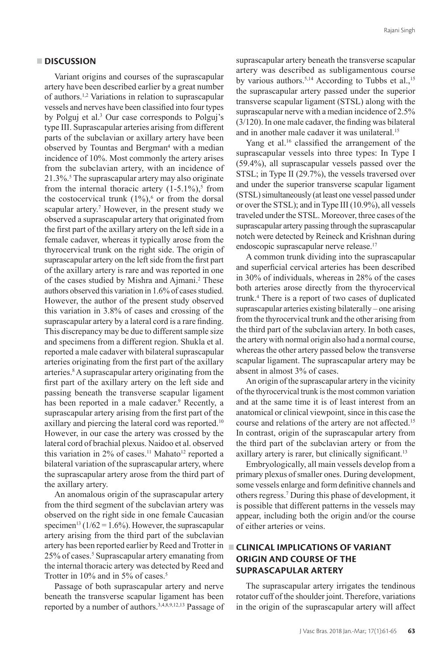### **DISCUSSION**

Variant origins and courses of the suprascapular artery have been described earlier by a great number of authors.1,2 Variations in relation to suprascapular vessels and nerves have been classified into four types by Polguj et al.3 Our case corresponds to Polguj's type III. Suprascapular arteries arising from different parts of the subclavian or axillary artery have been observed by Tountas and Bergman<sup>4</sup> with a median incidence of 10%. Most commonly the artery arises from the subclavian artery, with an incidence of 21.3%.<sup>5</sup> The suprascapular artery may also originate from the internal thoracic artery  $(1-5.1\%)$ <sup>5</sup> from the costocervical trunk  $(1\%)$ , or from the dorsal scapular artery.<sup>7</sup> However, in the present study we observed a suprascapular artery that originated from the first part of the axillary artery on the left side in a female cadaver, whereas it typically arose from the thyrocervical trunk on the right side. The origin of suprascapular artery on the left side from the first part of the axillary artery is rare and was reported in one of the cases studied by Mishra and Ajmani.<sup>2</sup> These authors observed this variation in 1.6% of cases studied. However, the author of the present study observed this variation in 3.8% of cases and crossing of the suprascapular artery by a lateral cord is a rare finding. This discrepancy may be due to different sample size and specimens from a different region. Shukla et al. reported a male cadaver with bilateral suprascapular arteries originating from the first part of the axillary arteries.8 A suprascapular artery originating from the first part of the axillary artery on the left side and passing beneath the transverse scapular ligament has been reported in a male cadaver.<sup>9</sup> Recently, a suprascapular artery arising from the first part of the axillary and piercing the lateral cord was reported.10 However, in our case the artery was crossed by the lateral cord of brachial plexus. Naidoo et al. observed this variation in 2% of cases.<sup>11</sup> Mahato<sup>12</sup> reported a bilateral variation of the suprascapular artery, where the suprascapular artery arose from the third part of the axillary artery.

An anomalous origin of the suprascapular artery from the third segment of the subclavian artery was observed on the right side in one female Caucasian specimen<sup>13</sup> ( $1/62 = 1.6\%$ ). However, the suprascapular artery arising from the third part of the subclavian artery has been reported earlier by Reed and Trotter in **CLINICAL IMPLICATIONS OF VARIANT**  25% of cases.<sup>5</sup> Suprascapular artery emanating from the internal thoracic artery was detected by Reed and Trotter in 10% and in 5% of cases.<sup>5</sup>

Passage of both suprascapular artery and nerve beneath the transverse scapular ligament has been reported by a number of authors.<sup>3,4,8,9,12,13</sup> Passage of suprascapular artery beneath the transverse scapular artery was described as subligamentous course by various authors.<sup>5,14</sup> According to Tubbs et al.,<sup>15</sup> the suprascapular artery passed under the superior transverse scapular ligament (STSL) along with the suprascapular nerve with a median incidence of 2.5% (3/120). In one male cadaver, the finding was bilateral and in another male cadaver it was unilateral.<sup>15</sup>

Yang et al.<sup>16</sup> classified the arrangement of the suprascapular vessels into three types: In Type I (59.4%), all suprascapular vessels passed over the STSL; in Type II (29.7%), the vessels traversed over and under the superior transverse scapular ligament (STSL) simultaneously (at least one vessel passed under or over the STSL); and in Type III (10.9%), all vessels traveled under the STSL. Moreover, three cases of the suprascapular artery passing through the suprascapular notch were detected by Reineck and Krishnan during endoscopic suprascapular nerve release.<sup>17</sup>

A common trunk dividing into the suprascapular and superficial cervical arteries has been described in 30% of individuals, whereas in 28% of the cases both arteries arose directly from the thyrocervical trunk.4 There is a report of two cases of duplicated suprascapular arteries existing bilaterally – one arising from the thyrocervical trunk and the other arising from the third part of the subclavian artery. In both cases, the artery with normal origin also had a normal course, whereas the other artery passed below the transverse scapular ligament. The suprascapular artery may be absent in almost 3% of cases.

An origin of the suprascapular artery in the vicinity of the thyrocervical trunk is the most common variation and at the same time it is of least interest from an anatomical or clinical viewpoint, since in this case the course and relations of the artery are not affected.<sup>15</sup> In contrast, origin of the suprascapular artery from the third part of the subclavian artery or from the axillary artery is rarer, but clinically significant.<sup>13</sup>

Embryologically, all main vessels develop from a primary plexus of smaller ones. During development, some vessels enlarge and form definitive channels and others regress.7 During this phase of development, it is possible that different patterns in the vessels may appear, including both the origin and/or the course of either arteries or veins.

# **ORIGIN AND COURSE OF THE SUPRASCAPULAR ARTERY**

The suprascapular artery irrigates the tendinous rotator cuff of the shoulder joint. Therefore, variations in the origin of the suprascapular artery will affect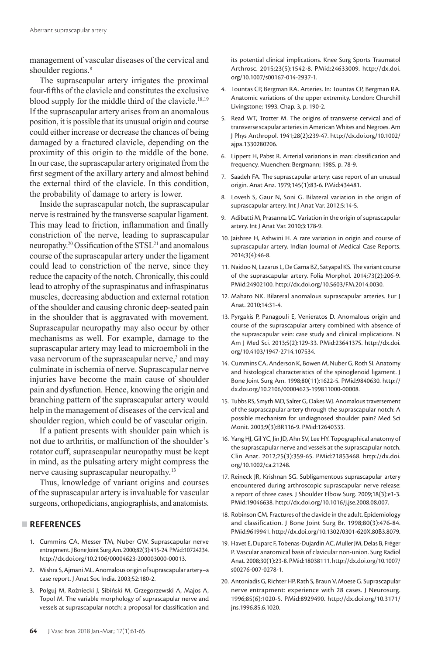management of vascular diseases of the cervical and shoulder regions.<sup>8</sup>

The suprascapular artery irrigates the proximal four-fifths of the clavicle and constitutes the exclusive blood supply for the middle third of the clavicle.<sup>18,19</sup> If the suprascapular artery arises from an anomalous position, it is possible that its unusual origin and course could either increase or decrease the chances of being damaged by a fractured clavicle, depending on the proximity of this origin to the middle of the bone. In our case, the suprascapular artery originated from the first segment of the axillary artery and almost behind the external third of the clavicle. In this condition, the probability of damage to artery is lower.

Inside the suprascapular notch, the suprascapular nerve is restrained by the transverse scapular ligament. This may lead to friction, inflammation and finally constriction of the nerve, leading to suprascapular neuropathy.<sup>20</sup> Ossification of the STSL<sup>21</sup> and anomalous course of the suprascapular artery under the ligament could lead to constriction of the nerve, since they reduce the capacity of the notch. Chronically, this could lead to atrophy of the supraspinatus and infraspinatus muscles, decreasing abduction and external rotation of the shoulder and causing chronic deep-seated pain in the shoulder that is aggravated with movement. Suprascapular neuropathy may also occur by other mechanisms as well. For example, damage to the suprascapular artery may lead to microemboli in the vasa nervorum of the suprascapular nerve,<sup>3</sup> and may culminate in ischemia of nerve. Suprascapular nerve injuries have become the main cause of shoulder pain and dysfunction. Hence, knowing the origin and branching pattern of the suprascapular artery would help in the management of diseases of the cervical and shoulder region, which could be of vascular origin.

If a patient presents with shoulder pain which is not due to arthritis, or malfunction of the shoulder's rotator cuff, suprascapular neuropathy must be kept in mind, as the pulsating artery might compress the nerve causing suprascapular neuropathy.13

Thus, knowledge of variant origins and courses of the suprascapular artery is invaluable for vascular surgeons, orthopedicians, angiographists, and anatomists.

### **REFERENCES**

- 1. Cummins CA, Messer TM, Nuber GW. Suprascapular nerve entrapment. J Bone Joint Surg Am. 2000;82(3):415-24[. PMid:10724234.](http://www.ncbi.nlm.nih.gov/entrez/query.fcgi?cmd=Retrieve&db=PubMed&list_uids=10724234&dopt=Abstract) <http://dx.doi.org/10.2106/00004623-200003000-00013>.
- 2. Mishra S, Ajmani ML. Anomalous origin of suprascapular artery–a case report. J Anat Soc India. 2003;52:180-2.
- 3. Polguj M, Rożniecki J, Sibiński M, Grzegorzewski A, Majos A, Topol M. The variable morphology of suprascapular nerve and vessels at suprascapular notch: a proposal for classification and

its potential clinical implications. Knee Surg Sports Traumatol Arthrosc. 2015;23(5):1542-8. [PMid:24633009.](http://www.ncbi.nlm.nih.gov/entrez/query.fcgi?cmd=Retrieve&db=PubMed&list_uids=24633009&dopt=Abstract) [http://dx.doi.](http://dx.doi.org/10.1007/s00167-014-2937-1) [org/10.1007/s00167-014-2937-1.](http://dx.doi.org/10.1007/s00167-014-2937-1)

- 4. Tountas CP, Bergman RA. Arteries. In: Tountas CP, Bergman RA. Anatomic variations of the upper extremity. London: Churchill Livingstone; 1993. Chap. 3, p. 190-2.
- 5. Read WT, Trotter M. The origins of transverse cervical and of transverse scapular arteries in American Whites and Negroes. Am J Phys Anthropol. 1941;28(2):239-47. [http://dx.doi.org/10.1002/](http://dx.doi.org/10.1002/ajpa.1330280206) [ajpa.1330280206](http://dx.doi.org/10.1002/ajpa.1330280206).
- 6. Lippert H, Pabst R. Arterial variations in man: classification and frequency. Muenchen: Bergmann; 1985. p. 78-9.
- 7. Saadeh FA. The suprascapular artery: case report of an unusual origin. Anat Anz. 1979;145(1):83-6. [PMid:434481.](http://www.ncbi.nlm.nih.gov/entrez/query.fcgi?cmd=Retrieve&db=PubMed&list_uids=434481&dopt=Abstract)
- 8. Lovesh S, Gaur N, Soni G. Bilateral variation in the origin of suprascapular artery. Int J Anat Var. 2012;5:14-5.
- 9. Adibatti M, Prasanna LC. Variation in the origin of suprascapular artery. Int J Anat Var. 2010;3:178-9.
- 10. Jaishree H, Ashwini H. A rare variation in origin and course of suprascapular artery. Indian Journal of Medical Case Reports. 2014;3(4):46-8.
- 11. Naidoo N, Lazarus L, De Gama BZ, Satyapal KS. The variant course of the suprascapular artery. Folia Morphol. 2014;73(2):206-9. [PMid:24902100.](http://www.ncbi.nlm.nih.gov/entrez/query.fcgi?cmd=Retrieve&db=PubMed&list_uids=24902100&dopt=Abstract) [http://dx.doi.org/10.5603/FM.2014.0030.](http://dx.doi.org/10.5603/FM.2014.0030)
- 12. Mahato NK. Bilateral anomalous suprascapular arteries. Eur J Anat. 2010;14:31-4.
- 13. Pyrgakis P, Panagouli E, Venieratos D. Anomalous origin and course of the suprascapular artery combined with absence of the suprascapular vein: case study and clinical implications. N Am J Med Sci. 2013;5(2):129-33. [PMid:23641375.](http://www.ncbi.nlm.nih.gov/entrez/query.fcgi?cmd=Retrieve&db=PubMed&list_uids=23641375&dopt=Abstract) [http://dx.doi.](http://dx.doi.org/10.4103/1947-2714.107534) [org/10.4103/1947-2714.107534](http://dx.doi.org/10.4103/1947-2714.107534).
- 14. Cummins CA, Anderson K, Bowen M, Nuber G, Roth SI. Anatomy and histological characteristics of the spinoglenoid ligament. J Bone Joint Surg Am. 1998;80(11):1622-5[. PMid:9840630.](http://www.ncbi.nlm.nih.gov/entrez/query.fcgi?cmd=Retrieve&db=PubMed&list_uids=9840630&dopt=Abstract) [http://](http://dx.doi.org/10.2106/00004623-199811000-00008) [dx.doi.org/10.2106/00004623-199811000-00008](http://dx.doi.org/10.2106/00004623-199811000-00008).
- 15. Tubbs RS, Smyth MD, Salter G, Oakes WJ. Anomalous traversement of the suprascapular artery through the suprascapular notch: A possible mechanism for undiagnosed shoulder pain? Med Sci Monit. 2003;9(3):BR116-9. [PMid:12640333.](http://www.ncbi.nlm.nih.gov/entrez/query.fcgi?cmd=Retrieve&db=PubMed&list_uids=12640333&dopt=Abstract)
- 16. Yang HJ, Gil YC, Jin JD, Ahn SV, Lee HY. Topographical anatomy of the suprascapular nerve and vessels at the suprascapular notch. Clin Anat. 2012;25(3):359-65. [PMid:21853468.](http://www.ncbi.nlm.nih.gov/entrez/query.fcgi?cmd=Retrieve&db=PubMed&list_uids=21853468&dopt=Abstract) [http://dx.doi.](http://dx.doi.org/10.1002/ca.21248) [org/10.1002/ca.21248](http://dx.doi.org/10.1002/ca.21248).
- 17. Reineck JR, Krishnan SG. Subligamentous suprascapular artery encountered during arthroscopic suprascapular nerve release: a report of three cases. J Shoulder Elbow Surg. 2009;18(3):e1-3. [PMid:19046638.](http://www.ncbi.nlm.nih.gov/entrez/query.fcgi?cmd=Retrieve&db=PubMed&list_uids=19046638&dopt=Abstract) [http://dx.doi.org/10.1016/j.jse.2008.08.007.](http://dx.doi.org/10.1016/j.jse.2008.08.007)
- 18. Robinson CM. Fractures of the clavicle in the adult. Epidemiology and classification. J Bone Joint Surg Br. 1998;80(3):476-84. [PMid:9619941.](http://www.ncbi.nlm.nih.gov/entrez/query.fcgi?cmd=Retrieve&db=PubMed&list_uids=9619941&dopt=Abstract) [http://dx.doi.org/10.1302/0301-620X.80B3.8079.](http://dx.doi.org/10.1302/0301-620X.80B3.8079)
- 19. Havet E, Duparc F, Tobenas-Dujardin AC, Muller JM, Delas B, Fréger P. Vascular anatomical basis of clavicular non-union. Surg Radiol Anat. 2008;30(1):23-8[. PMid:18038111.](http://www.ncbi.nlm.nih.gov/entrez/query.fcgi?cmd=Retrieve&db=PubMed&list_uids=18038111&dopt=Abstract) [http://dx.doi.org/10.1007/](http://dx.doi.org/10.1007/s00276-007-0278-1) [s00276-007-0278-1](http://dx.doi.org/10.1007/s00276-007-0278-1).
- 20. Antoniadis G, Richter HP, Rath S, Braun V, Moese G. Suprascapular nerve entrapment: experience with 28 cases. J Neurosurg. 1996;85(6):1020-5[. PMid:8929490.](http://www.ncbi.nlm.nih.gov/entrez/query.fcgi?cmd=Retrieve&db=PubMed&list_uids=8929490&dopt=Abstract) [http://dx.doi.org/10.3171/](http://dx.doi.org/10.3171/jns.1996.85.6.1020) [jns.1996.85.6.1020](http://dx.doi.org/10.3171/jns.1996.85.6.1020).